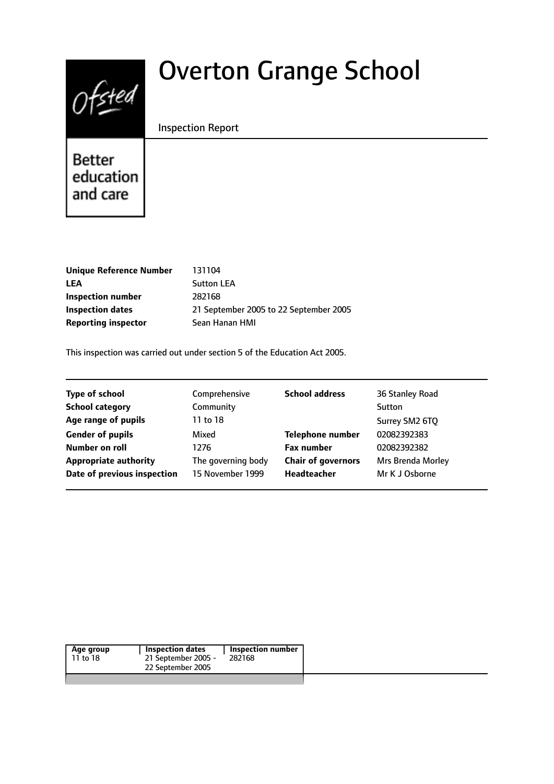# $0$ fsted

# Overton Grange School

#### Inspection Report

Better education and care

| 131104                                 |
|----------------------------------------|
| <b>Sutton LEA</b>                      |
| 282168                                 |
| 21 September 2005 to 22 September 2005 |
| Sean Hanan HMI                         |
|                                        |

This inspection was carried out under section 5 of the Education Act 2005.

| <b>Type of school</b>        | Comprehensive      | <b>School address</b>     | 36 Stanley Road   |
|------------------------------|--------------------|---------------------------|-------------------|
| <b>School category</b>       | Community          |                           | Sutton            |
| Age range of pupils          | 11 to 18           |                           | Surrey SM2 6TQ    |
| <b>Gender of pupils</b>      | Mixed              | <b>Telephone number</b>   | 02082392383       |
| Number on roll               | 1276               | <b>Fax number</b>         | 02082392382       |
| <b>Appropriate authority</b> | The governing body | <b>Chair of governors</b> | Mrs Brenda Morley |
| Date of previous inspection  | 15 November 1999   | Headteacher               | Mr K J Osborne    |
|                              |                    |                           |                   |

| Age group | <b>Inspection dates</b> | Inspection number |
|-----------|-------------------------|-------------------|
| 11 to 18  | 21 September 2005 -     | 282168            |
|           | 22 September 2005       |                   |
|           |                         |                   |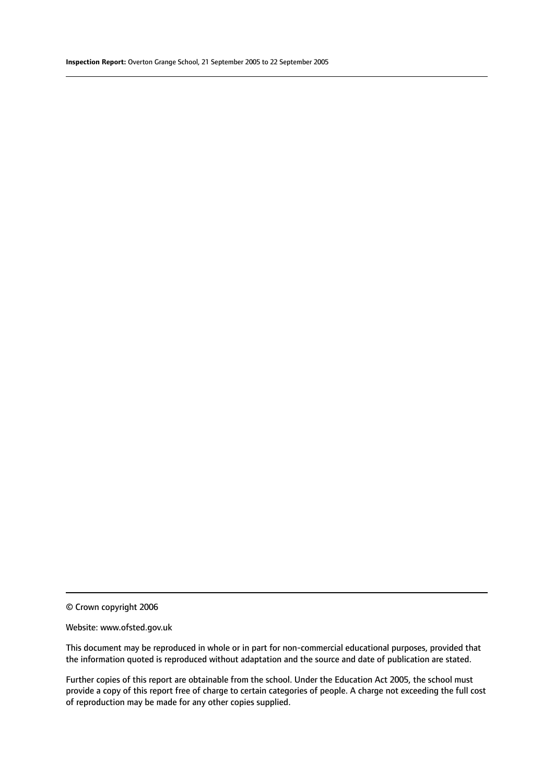© Crown copyright 2006

#### Website: www.ofsted.gov.uk

This document may be reproduced in whole or in part for non-commercial educational purposes, provided that the information quoted is reproduced without adaptation and the source and date of publication are stated.

Further copies of this report are obtainable from the school. Under the Education Act 2005, the school must provide a copy of this report free of charge to certain categories of people. A charge not exceeding the full cost of reproduction may be made for any other copies supplied.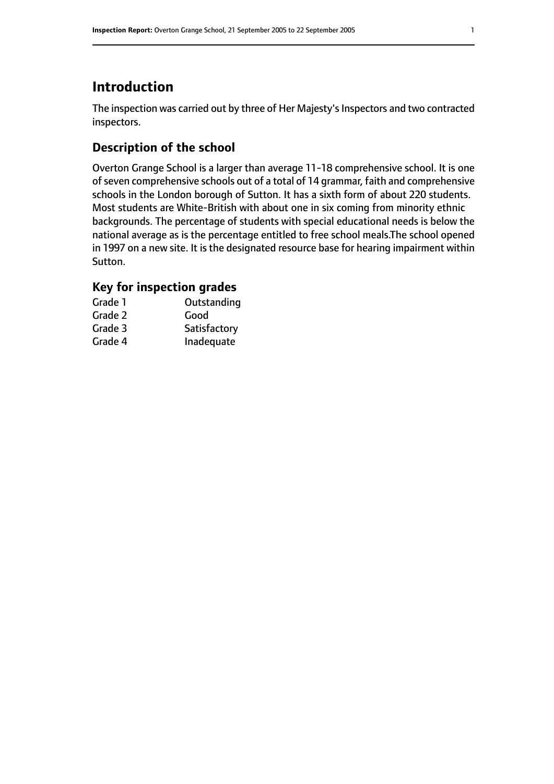# **Introduction**

The inspection was carried out by three of Her Majesty's Inspectors and two contracted inspectors.

## **Description of the school**

Overton Grange School is a larger than average 11-18 comprehensive school. It is one of seven comprehensive schools out of a total of 14 grammar, faith and comprehensive schools in the London borough of Sutton. It has a sixth form of about 220 students. Most students are White-British with about one in six coming from minority ethnic backgrounds. The percentage of students with special educational needs is below the national average as is the percentage entitled to free school meals.The school opened in 1997 on a new site. It is the designated resource base for hearing impairment within Sutton.

# **Key for inspection grades**

| Grade 1 | Outstanding  |
|---------|--------------|
| Grade 2 | Good         |
| Grade 3 | Satisfactory |
| Grade 4 | Inadequate   |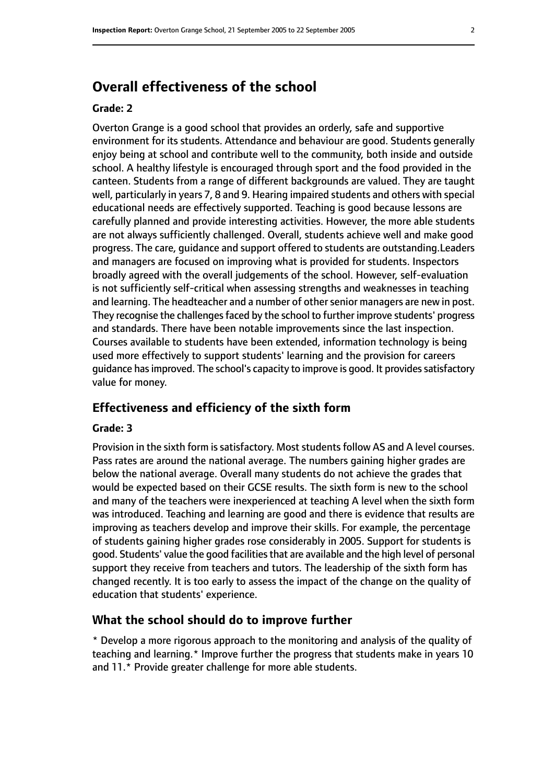# **Overall effectiveness of the school**

#### **Grade: 2**

Overton Grange is a good school that provides an orderly, safe and supportive environment for its students. Attendance and behaviour are good. Students generally enjoy being at school and contribute well to the community, both inside and outside school. A healthy lifestyle is encouraged through sport and the food provided in the canteen. Students from a range of different backgrounds are valued. They are taught well, particularly in years 7, 8 and 9. Hearing impaired students and others with special educational needs are effectively supported. Teaching is good because lessons are carefully planned and provide interesting activities. However, the more able students are not always sufficiently challenged. Overall, students achieve well and make good progress. The care, guidance and support offered to students are outstanding.Leaders and managers are focused on improving what is provided for students. Inspectors broadly agreed with the overall judgements of the school. However, self-evaluation is not sufficiently self-critical when assessing strengths and weaknesses in teaching and learning. The headteacher and a number of other senior managers are new in post. They recognise the challenges faced by the school to further improve students' progress and standards. There have been notable improvements since the last inspection. Courses available to students have been extended, information technology is being used more effectively to support students' learning and the provision for careers guidance has improved. The school's capacity to improve is good. It provides satisfactory value for money.

#### **Effectiveness and efficiency of the sixth form**

#### **Grade: 3**

Provision in the sixth form is satisfactory. Most students follow AS and A level courses. Pass rates are around the national average. The numbers gaining higher grades are below the national average. Overall many students do not achieve the grades that would be expected based on their GCSE results. The sixth form is new to the school and many of the teachers were inexperienced at teaching A level when the sixth form was introduced. Teaching and learning are good and there is evidence that results are improving as teachers develop and improve their skills. For example, the percentage of students gaining higher grades rose considerably in 2005. Support for students is good. Students' value the good facilities that are available and the high level of personal support they receive from teachers and tutors. The leadership of the sixth form has changed recently. It is too early to assess the impact of the change on the quality of education that students' experience.

#### **What the school should do to improve further**

\* Develop a more rigorous approach to the monitoring and analysis of the quality of teaching and learning.\* Improve further the progress that students make in years 10 and 11.\* Provide greater challenge for more able students.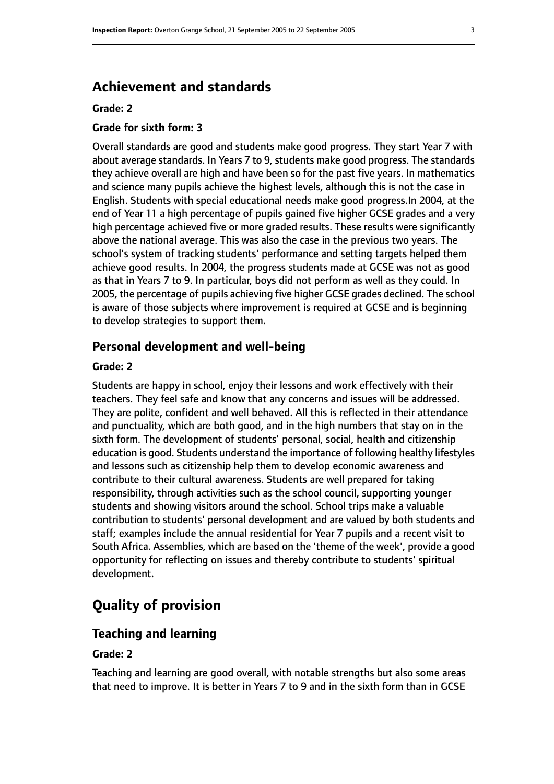# **Achievement and standards**

#### **Grade: 2**

#### **Grade for sixth form: 3**

Overall standards are good and students make good progress. They start Year 7 with about average standards. In Years 7 to 9, students make good progress. The standards they achieve overall are high and have been so for the past five years. In mathematics and science many pupils achieve the highest levels, although this is not the case in English. Students with special educational needs make good progress.In 2004, at the end of Year 11 a high percentage of pupils gained five higher GCSE grades and a very high percentage achieved five or more graded results. These results were significantly above the national average. This was also the case in the previous two years. The school's system of tracking students' performance and setting targets helped them achieve good results. In 2004, the progress students made at GCSE was not as good as that in Years 7 to 9. In particular, boys did not perform as well as they could. In 2005, the percentage of pupils achieving five higher GCSE grades declined. The school is aware of those subjects where improvement is required at GCSE and is beginning to develop strategies to support them.

#### **Personal development and well-being**

#### **Grade: 2**

Students are happy in school, enjoy their lessons and work effectively with their teachers. They feel safe and know that any concerns and issues will be addressed. They are polite, confident and well behaved. All this is reflected in their attendance and punctuality, which are both good, and in the high numbers that stay on in the sixth form. The development of students' personal, social, health and citizenship education is good. Students understand the importance of following healthy lifestyles and lessons such as citizenship help them to develop economic awareness and contribute to their cultural awareness. Students are well prepared for taking responsibility, through activities such as the school council, supporting younger students and showing visitors around the school. School trips make a valuable contribution to students' personal development and are valued by both students and staff; examples include the annual residential for Year 7 pupils and a recent visit to South Africa. Assemblies, which are based on the 'theme of the week', provide a good opportunity for reflecting on issues and thereby contribute to students' spiritual development.

# **Quality of provision**

#### **Teaching and learning**

#### **Grade: 2**

Teaching and learning are good overall, with notable strengths but also some areas that need to improve. It is better in Years 7 to 9 and in the sixth form than in GCSE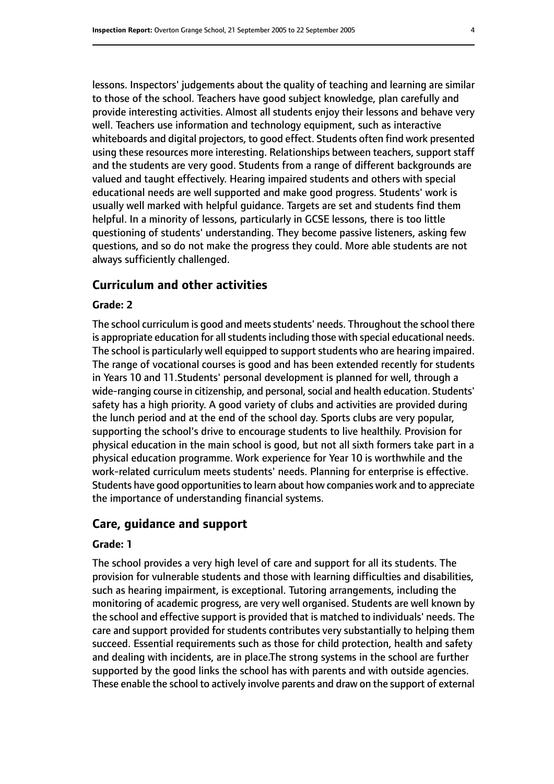lessons. Inspectors' judgements about the quality of teaching and learning are similar to those of the school. Teachers have good subject knowledge, plan carefully and provide interesting activities. Almost all students enjoy their lessons and behave very well. Teachers use information and technology equipment, such as interactive whiteboards and digital projectors, to good effect. Students often find work presented using these resources more interesting. Relationships between teachers, support staff and the students are very good. Students from a range of different backgrounds are valued and taught effectively. Hearing impaired students and others with special educational needs are well supported and make good progress. Students' work is usually well marked with helpful guidance. Targets are set and students find them helpful. In a minority of lessons, particularly in GCSE lessons, there is too little questioning of students' understanding. They become passive listeners, asking few questions, and so do not make the progress they could. More able students are not always sufficiently challenged.

#### **Curriculum and other activities**

#### **Grade: 2**

The school curriculum is good and meets students' needs. Throughout the school there is appropriate education for all students including those with special educational needs. The school is particularly well equipped to support students who are hearing impaired. The range of vocational courses is good and has been extended recently for students in Years 10 and 11.Students' personal development is planned for well, through a wide-ranging course in citizenship, and personal, social and health education. Students' safety has a high priority. A good variety of clubs and activities are provided during the lunch period and at the end of the school day. Sports clubs are very popular, supporting the school's drive to encourage students to live healthily. Provision for physical education in the main school is good, but not all sixth formers take part in a physical education programme. Work experience for Year 10 is worthwhile and the work-related curriculum meets students' needs. Planning for enterprise is effective. Students have good opportunities to learn about how companies work and to appreciate the importance of understanding financial systems.

#### **Care, guidance and support**

#### **Grade: 1**

The school provides a very high level of care and support for all its students. The provision for vulnerable students and those with learning difficulties and disabilities, such as hearing impairment, is exceptional. Tutoring arrangements, including the monitoring of academic progress, are very well organised. Students are well known by the school and effective support is provided that is matched to individuals' needs. The care and support provided for students contributes very substantially to helping them succeed. Essential requirements such as those for child protection, health and safety and dealing with incidents, are in place.The strong systems in the school are further supported by the good links the school has with parents and with outside agencies. These enable the school to actively involve parents and draw on the support of external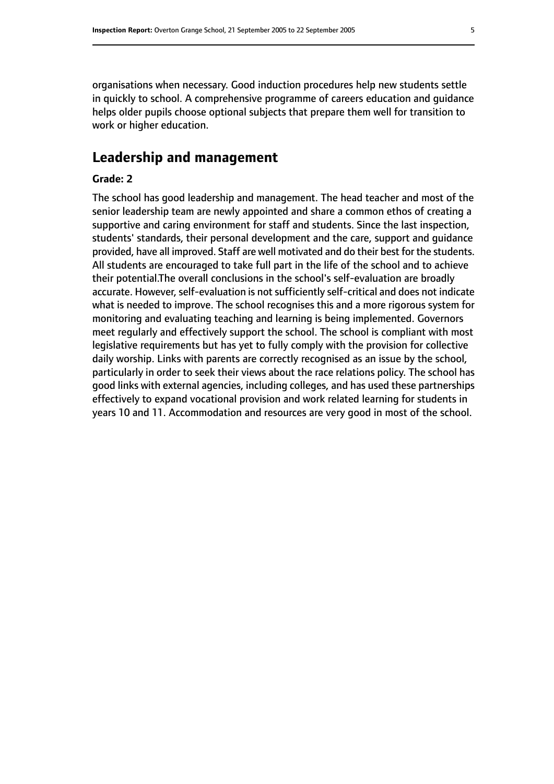organisations when necessary. Good induction procedures help new students settle in quickly to school. A comprehensive programme of careers education and guidance helps older pupils choose optional subjects that prepare them well for transition to work or higher education.

# **Leadership and management**

#### **Grade: 2**

The school has good leadership and management. The head teacher and most of the senior leadership team are newly appointed and share a common ethos of creating a supportive and caring environment for staff and students. Since the last inspection, students' standards, their personal development and the care, support and guidance provided, have all improved. Staff are well motivated and do their best for the students. All students are encouraged to take full part in the life of the school and to achieve their potential.The overall conclusions in the school's self-evaluation are broadly accurate. However, self-evaluation is not sufficiently self-critical and does not indicate what is needed to improve. The school recognises this and a more rigorous system for monitoring and evaluating teaching and learning is being implemented. Governors meet regularly and effectively support the school. The school is compliant with most legislative requirements but has yet to fully comply with the provision for collective daily worship. Links with parents are correctly recognised as an issue by the school, particularly in order to seek their views about the race relations policy. The school has good links with external agencies, including colleges, and has used these partnerships effectively to expand vocational provision and work related learning for students in years 10 and 11. Accommodation and resources are very good in most of the school.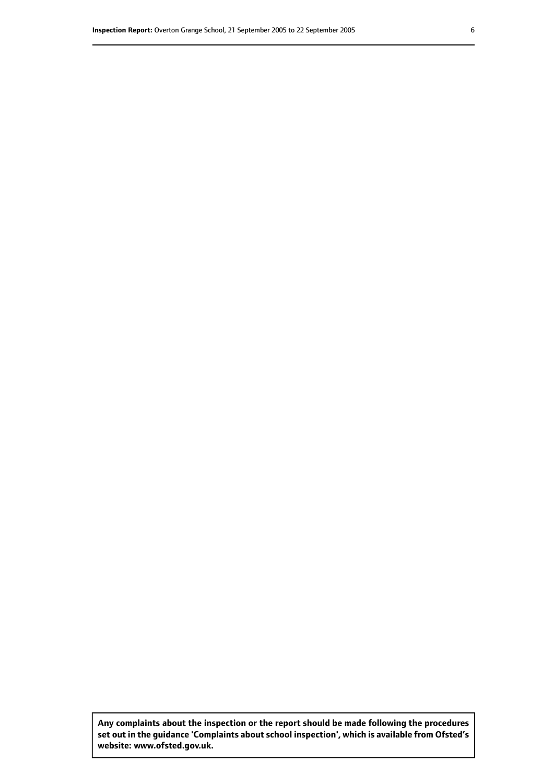**Any complaints about the inspection or the report should be made following the procedures set out inthe guidance 'Complaints about school inspection', whichis available from Ofsted's website: www.ofsted.gov.uk.**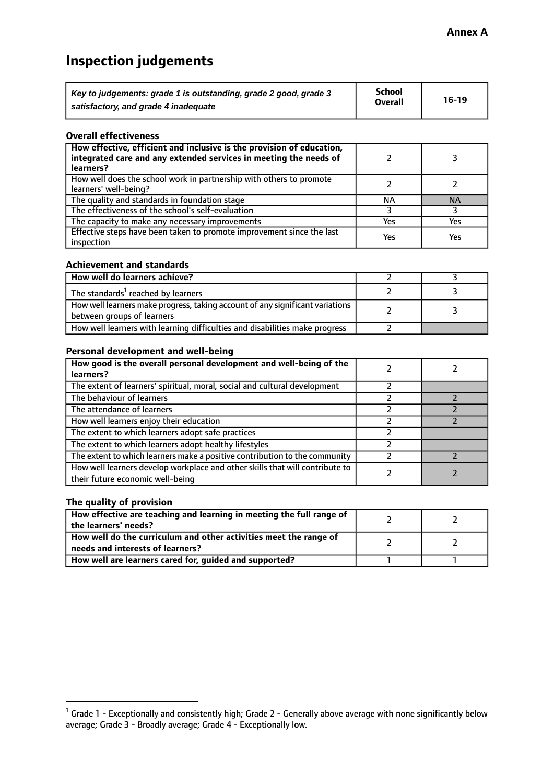# **Inspection judgements**

| Key to judgements: grade 1 is outstanding, grade 2 good, grade 3 | School<br><b>Overall</b> | $16-19$ |
|------------------------------------------------------------------|--------------------------|---------|
| satisfactory, and grade 4 inadequate                             |                          |         |

#### **Overall effectiveness**

| How effective, efficient and inclusive is the provision of education,<br>integrated care and any extended services in meeting the needs of<br>learners? |     |           |
|---------------------------------------------------------------------------------------------------------------------------------------------------------|-----|-----------|
| How well does the school work in partnership with others to promote<br>learners' well-being?                                                            |     |           |
| The quality and standards in foundation stage                                                                                                           | ΝA  | <b>NA</b> |
| The effectiveness of the school's self-evaluation                                                                                                       |     |           |
| The capacity to make any necessary improvements                                                                                                         | Yes | Yes       |
| Effective steps have been taken to promote improvement since the last<br>inspection                                                                     | Yes | Yes       |

#### **Achievement and standards**

| How well do learners achieve?                                                                                 |  |
|---------------------------------------------------------------------------------------------------------------|--|
| The standards <sup>1</sup> reached by learners                                                                |  |
| How well learners make progress, taking account of any significant variations  <br>between groups of learners |  |
| How well learners with learning difficulties and disabilities make progress                                   |  |

#### **Personal development and well-being**

| How good is the overall personal development and well-being of the<br>learners?                                  |  |
|------------------------------------------------------------------------------------------------------------------|--|
| The extent of learners' spiritual, moral, social and cultural development                                        |  |
| The behaviour of learners                                                                                        |  |
| The attendance of learners                                                                                       |  |
| How well learners enjoy their education                                                                          |  |
| The extent to which learners adopt safe practices                                                                |  |
| The extent to which learners adopt healthy lifestyles                                                            |  |
| The extent to which learners make a positive contribution to the community                                       |  |
| How well learners develop workplace and other skills that will contribute to<br>their future economic well-being |  |

#### **The quality of provision**

| How effective are teaching and learning in meeting the full range of<br>the learners' needs?          |  |
|-------------------------------------------------------------------------------------------------------|--|
| How well do the curriculum and other activities meet the range of<br>needs and interests of learners? |  |
| How well are learners cared for, guided and supported?                                                |  |

 $^1$  Grade 1 - Exceptionally and consistently high; Grade 2 - Generally above average with none significantly below average; Grade 3 - Broadly average; Grade 4 - Exceptionally low.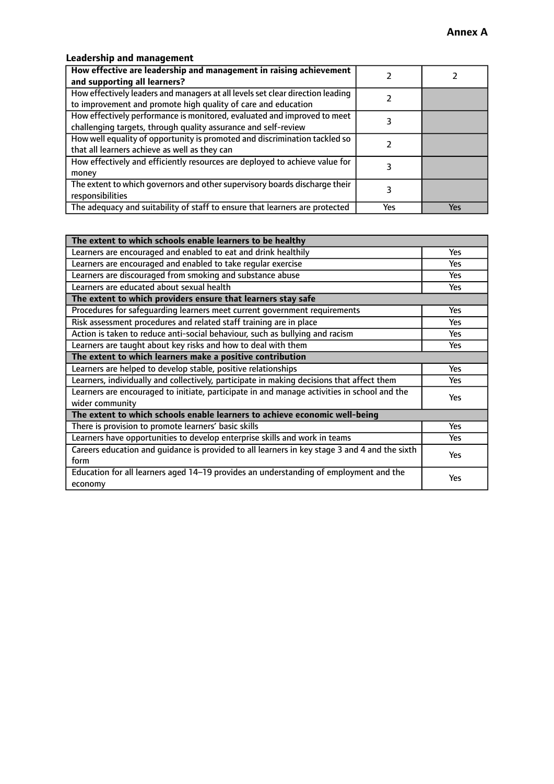### **Leadership and management**

| How effective are leadership and management in raising achievement<br>and supporting all learners?                                              |     |     |
|-------------------------------------------------------------------------------------------------------------------------------------------------|-----|-----|
| How effectively leaders and managers at all levels set clear direction leading<br>to improvement and promote high quality of care and education |     |     |
| How effectively performance is monitored, evaluated and improved to meet<br>challenging targets, through quality assurance and self-review      |     |     |
| How well equality of opportunity is promoted and discrimination tackled so<br>that all learners achieve as well as they can                     |     |     |
| How effectively and efficiently resources are deployed to achieve value for<br>money                                                            |     |     |
| The extent to which governors and other supervisory boards discharge their<br>responsibilities                                                  |     |     |
| The adequacy and suitability of staff to ensure that learners are protected                                                                     | Yes | Yes |

| The extent to which schools enable learners to be healthy                                     |            |  |
|-----------------------------------------------------------------------------------------------|------------|--|
| Learners are encouraged and enabled to eat and drink healthily                                | Yes        |  |
| Learners are encouraged and enabled to take regular exercise                                  | <b>Yes</b> |  |
| Learners are discouraged from smoking and substance abuse                                     | Yes        |  |
| Learners are educated about sexual health                                                     | Yes        |  |
| The extent to which providers ensure that learners stay safe                                  |            |  |
| Procedures for safeguarding learners meet current government requirements                     | Yes        |  |
| Risk assessment procedures and related staff training are in place                            | <b>Yes</b> |  |
| Action is taken to reduce anti-social behaviour, such as bullying and racism                  | Yes        |  |
| Learners are taught about key risks and how to deal with them                                 | Yes        |  |
| The extent to which learners make a positive contribution                                     |            |  |
| Learners are helped to develop stable, positive relationships                                 | <b>Yes</b> |  |
| Learners, individually and collectively, participate in making decisions that affect them     | <b>Yes</b> |  |
| Learners are encouraged to initiate, participate in and manage activities in school and the   | <b>Yes</b> |  |
| wider community                                                                               |            |  |
| The extent to which schools enable learners to achieve economic well-being                    |            |  |
| There is provision to promote learners' basic skills                                          | Yes        |  |
| Learners have opportunities to develop enterprise skills and work in teams                    | Yes        |  |
| Careers education and quidance is provided to all learners in key stage 3 and 4 and the sixth | Yes        |  |
| form                                                                                          |            |  |
| Education for all learners aged 14-19 provides an understanding of employment and the         | Yes        |  |
| economy                                                                                       |            |  |